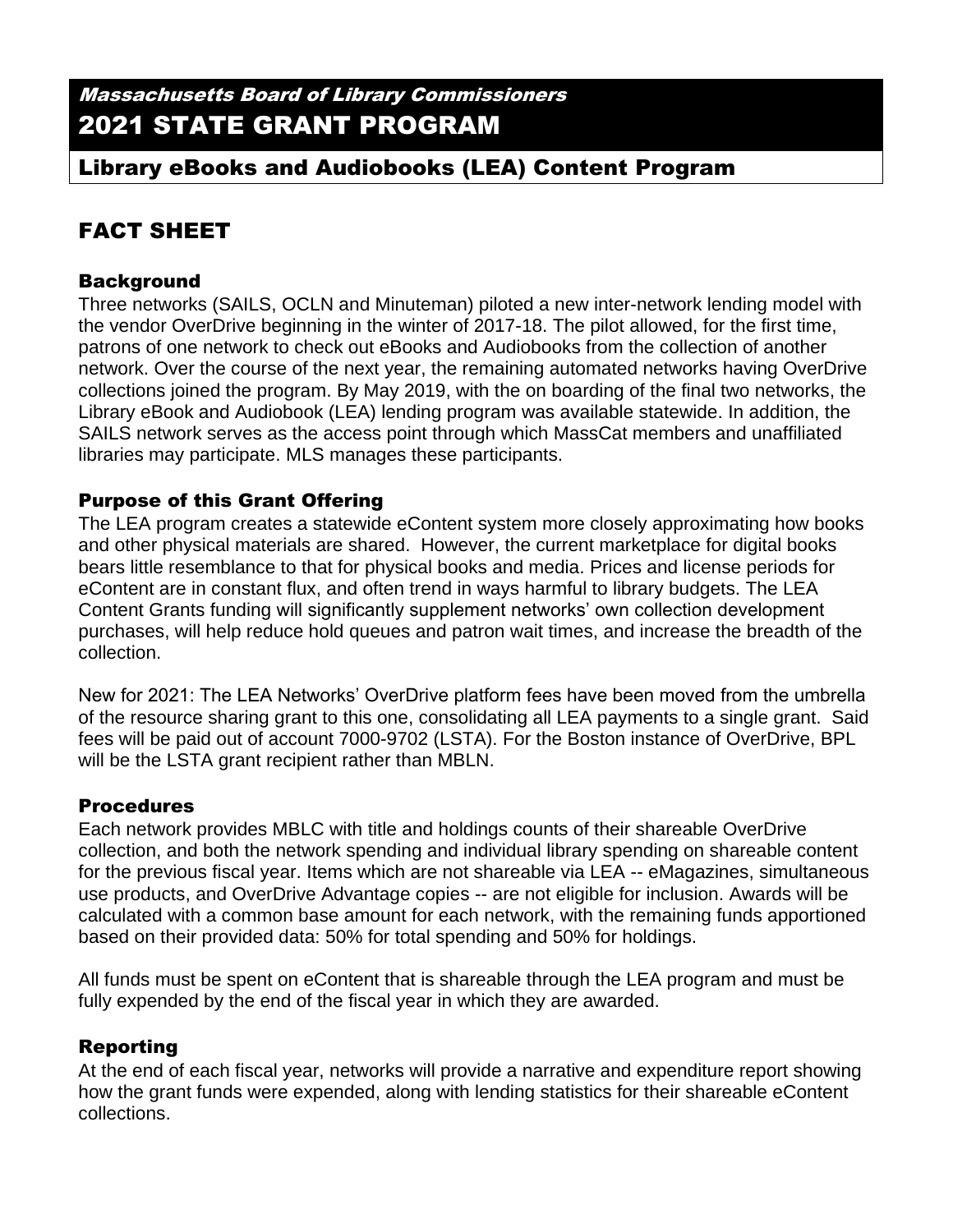Massachusetts Board of Library Commissioners 2021 STATE GRANT PROGRAM

# Library eBooks and Audiobooks (LEA) Content Program

# FACT SHEET

## Background

Three networks (SAILS, OCLN and Minuteman) piloted a new inter-network lending model with the vendor OverDrive beginning in the winter of 2017-18. The pilot allowed, for the first time, patrons of one network to check out eBooks and Audiobooks from the collection of another network. Over the course of the next year, the remaining automated networks having OverDrive collections joined the program. By May 2019, with the on boarding of the final two networks, the Library eBook and Audiobook (LEA) lending program was available statewide. In addition, the SAILS network serves as the access point through which MassCat members and unaffiliated libraries may participate. MLS manages these participants.

#### Purpose of this Grant Offering

The LEA program creates a statewide eContent system more closely approximating how books and other physical materials are shared. However, the current marketplace for digital books bears little resemblance to that for physical books and media. Prices and license periods for eContent are in constant flux, and often trend in ways harmful to library budgets. The LEA Content Grants funding will significantly supplement networks' own collection development purchases, will help reduce hold queues and patron wait times, and increase the breadth of the collection.

New for 2021: The LEA Networks' OverDrive platform fees have been moved from the umbrella of the resource sharing grant to this one, consolidating all LEA payments to a single grant. Said fees will be paid out of account 7000-9702 (LSTA). For the Boston instance of OverDrive, BPL will be the LSTA grant recipient rather than MBLN.

#### Procedures

Each network provides MBLC with title and holdings counts of their shareable OverDrive collection, and both the network spending and individual library spending on shareable content for the previous fiscal year. Items which are not shareable via LEA -- eMagazines, simultaneous use products, and OverDrive Advantage copies -- are not eligible for inclusion. Awards will be calculated with a common base amount for each network, with the remaining funds apportioned based on their provided data: 50% for total spending and 50% for holdings.

All funds must be spent on eContent that is shareable through the LEA program and must be fully expended by the end of the fiscal year in which they are awarded.

## Reporting

At the end of each fiscal year, networks will provide a narrative and expenditure report showing how the grant funds were expended, along with lending statistics for their shareable eContent collections.